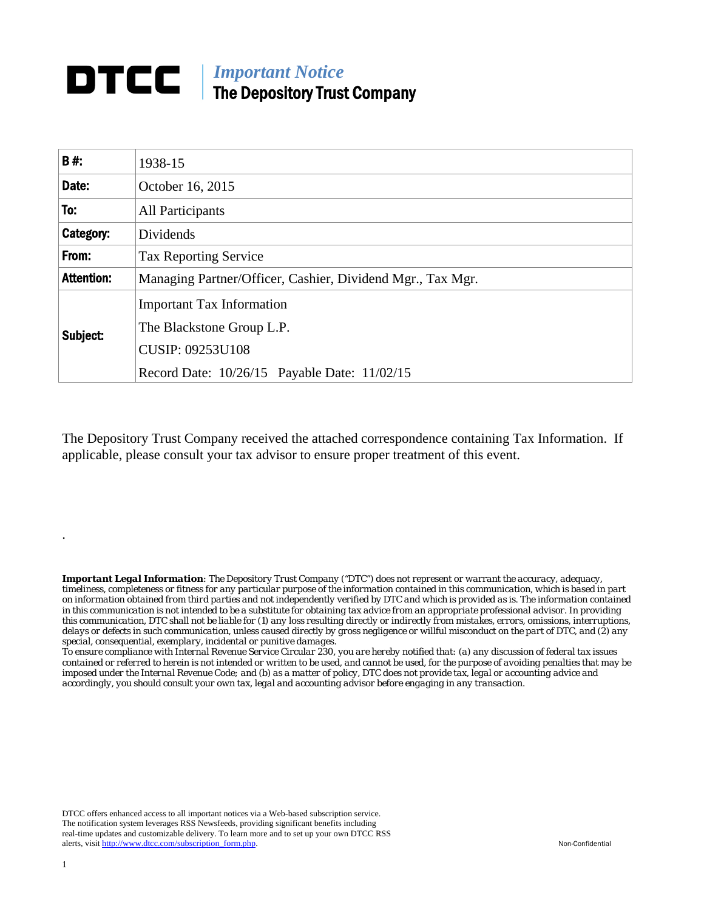## *Important Notice*  The Depository Trust Company

| <b>B#:</b>        | 1938-15                                                    |
|-------------------|------------------------------------------------------------|
| Date:             | October 16, 2015                                           |
| To:               | <b>All Participants</b>                                    |
| Category:         | Dividends                                                  |
| From:             | <b>Tax Reporting Service</b>                               |
| <b>Attention:</b> | Managing Partner/Officer, Cashier, Dividend Mgr., Tax Mgr. |
| Subject:          | <b>Important Tax Information</b>                           |
|                   | The Blackstone Group L.P.                                  |
|                   | <b>CUSIP: 09253U108</b>                                    |
|                   | Record Date: 10/26/15 Payable Date: 11/02/15               |

The Depository Trust Company received the attached correspondence containing Tax Information. If applicable, please consult your tax advisor to ensure proper treatment of this event.

*Important Legal Information: The Depository Trust Company ("DTC") does not represent or warrant the accuracy, adequacy, timeliness, completeness or fitness for any particular purpose of the information contained in this communication, which is based in part on information obtained from third parties and not independently verified by DTC and which is provided as is. The information contained in this communication is not intended to be a substitute for obtaining tax advice from an appropriate professional advisor. In providing this communication, DTC shall not be liable for (1) any loss resulting directly or indirectly from mistakes, errors, omissions, interruptions, delays or defects in such communication, unless caused directly by gross negligence or willful misconduct on the part of DTC, and (2) any special, consequential, exemplary, incidental or punitive damages.* 

*To ensure compliance with Internal Revenue Service Circular 230, you are hereby notified that: (a) any discussion of federal tax issues contained or referred to herein is not intended or written to be used, and cannot be used, for the purpose of avoiding penalties that may be imposed under the Internal Revenue Code; and (b) as a matter of policy, DTC does not provide tax, legal or accounting advice and accordingly, you should consult your own tax, legal and accounting advisor before engaging in any transaction.*

DTCC offers enhanced access to all important notices via a Web-based subscription service. The notification system leverages RSS Newsfeeds, providing significant benefits including real-time updates and customizable delivery. To learn more and to set up your own DTCC RSS alerts, visit http://www.dtcc.com/subscription\_form.php. Non-Confidential

.